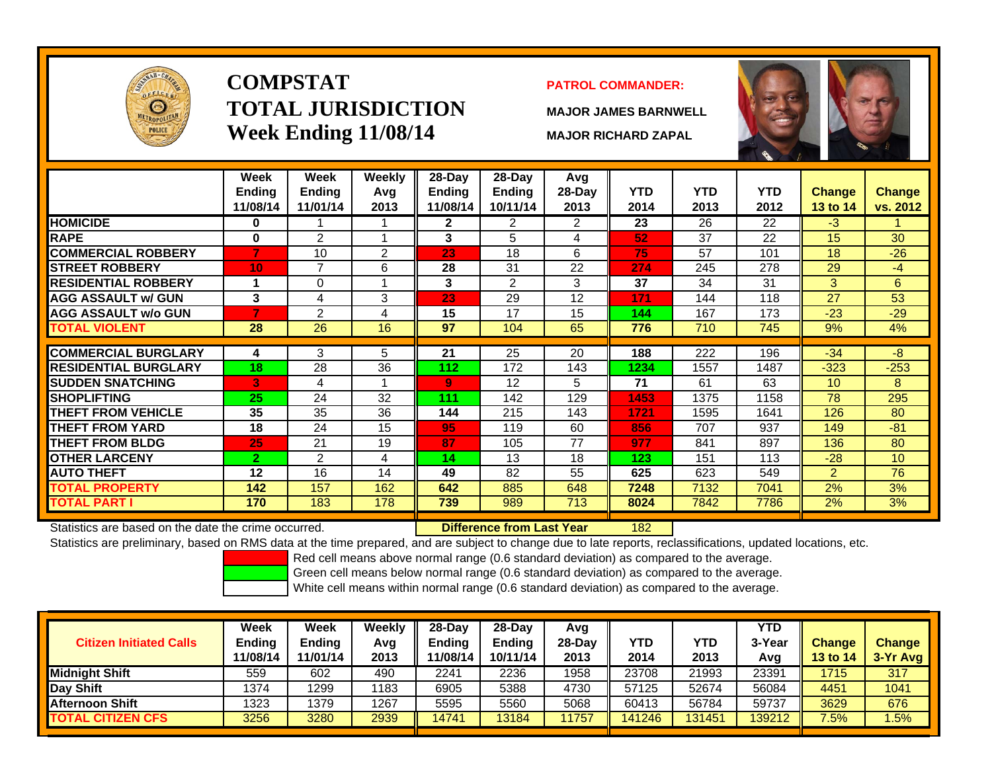

# **COMPSTATTOTAL JURISDICTIONWeek Ending 11/08/14 MAJOR RICHARD ZAPAL**

### **PATROL COMMANDER:**

**MAJOR JAMES BARNWELL**



|                             | Week                      | Week<br><b>Endina</b> | Weekly      | $28-Day$           | $28-Day$                  | Avg              | <b>YTD</b> | <b>YTD</b> | <b>YTD</b> |                           |                           |
|-----------------------------|---------------------------|-----------------------|-------------|--------------------|---------------------------|------------------|------------|------------|------------|---------------------------|---------------------------|
|                             | <b>Ending</b><br>11/08/14 | 11/01/14              | Avg<br>2013 | Ending<br>11/08/14 | <b>Ending</b><br>10/11/14 | $28-Day$<br>2013 | 2014       | 2013       | 2012       | <b>Change</b><br>13 to 14 | <b>Change</b><br>vs. 2012 |
| <b>HOMICIDE</b>             | 0                         |                       |             | $\mathbf{2}$       | $\overline{2}$            | $\overline{2}$   | 23         | 26         | 22         | $-3$                      |                           |
| <b>RAPE</b>                 | $\bf{0}$                  | $\overline{2}$        |             | 3                  | 5                         | 4                | 52         | 37         | 22         | 15                        | 30                        |
| <b>COMMERCIAL ROBBERY</b>   |                           | 10                    | 2           | 23                 | 18                        | 6                | 75         | 57         | 101        | 18                        | $-26$                     |
| <b>STREET ROBBERY</b>       | 10                        | $\overline{7}$        | 6           | 28                 | 31                        | 22               | 274        | 245        | 278        | 29                        | $-4$                      |
| <b>RESIDENTIAL ROBBERY</b>  |                           | 0                     |             | 3                  | $\overline{2}$            | 3                | 37         | 34         | 31         | 3                         | 6                         |
| <b>AGG ASSAULT w/ GUN</b>   | 3                         | 4                     | 3           | 23                 | 29                        | 12               | 171        | 144        | 118        | 27                        | 53                        |
| <b>AGG ASSAULT w/o GUN</b>  |                           | 2                     | 4           | 15                 | 17                        | 15               | 144        | 167        | 173        | $-23$                     | $-29$                     |
| <b>TOTAL VIOLENT</b>        | 28                        | 26                    | 16          | 97                 | 104                       | 65               | 776        | 710        | 745        | 9%                        | 4%                        |
|                             |                           |                       |             |                    |                           |                  |            |            |            |                           |                           |
| <b>COMMERCIAL BURGLARY</b>  | 4                         | 3                     | 5           | 21                 | 25                        | 20               | 188        | 222        | 196        | $-34$                     | $-8$                      |
| <b>RESIDENTIAL BURGLARY</b> | 18                        | 28                    | 36          | 112                | 172                       | 143              | 1234       | 1557       | 1487       | $-323$                    | $-253$                    |
| <b>SUDDEN SNATCHING</b>     | 3                         | 4                     |             | 9                  | 12                        | 5                | 71         | 61         | 63         | 10 <sup>°</sup>           | 8                         |
| <b>ISHOPLIFTING</b>         | 25                        | 24                    | 32          | 111                | 142                       | 129              | 1453       | 1375       | 1158       | 78                        | 295                       |
| <b>THEFT FROM VEHICLE</b>   | 35                        | 35                    | 36          | 144                | 215                       | 143              | 1721       | 1595       | 1641       | 126                       | 80                        |
| <b>THEFT FROM YARD</b>      | 18                        | 24                    | 15          | 95                 | 119                       | 60               | 856        | 707        | 937        | 149                       | $-81$                     |
| <b>THEFT FROM BLDG</b>      | 25                        | 21                    | 19          | 87                 | 105                       | 77               | 977        | 841        | 897        | 136                       | 80                        |
| <b>OTHER LARCENY</b>        | $\mathbf{2}$              | $\overline{2}$        | 4           | 14                 | 13                        | 18               | 123        | 151        | 113        | $-28$                     | 10 <sup>1</sup>           |
| <b>AUTO THEFT</b>           | 12                        | 16                    | 14          | 49                 | 82                        | 55               | 625        | 623        | 549        | $\overline{2}$            | 76                        |
| <b>TOTAL PROPERTY</b>       | 142                       | 157                   | 162         | 642                | 885                       | 648              | 7248       | 7132       | 7041       | 2%                        | 3%                        |
| <b>TOTAL PART I</b>         | 170                       | 183                   | 178         | 739                | 989                       | 713              | 8024       | 7842       | 7786       | 2%                        | 3%                        |

Statistics are based on the date the crime occurred. **Difference from Last Year** 

182

Statistics are preliminary, based on RMS data at the time prepared, and are subject to change due to late reports, reclassifications, updated locations, etc.

Red cell means above normal range (0.6 standard deviation) as compared to the average.

Green cell means below normal range (0.6 standard deviation) as compared to the average.

| <b>Citizen Initiated Calls</b> | Week<br>Ending<br>11/08/14 | Week<br><b>Ending</b><br>11/01/14 | Weekly<br>Avg<br>2013 | 28-Dav<br><b>Endina</b><br>'1/08/14 | 28-Dav<br><b>Ending</b><br>10/11/14 | Avq<br>28-Dav<br>2013 | YTD<br>2014 | YTD<br>2013 | YTD<br>3-Year<br>Avg | <b>Change</b><br><b>13 to 14</b> | <b>Change</b><br>3-Yr Avg |
|--------------------------------|----------------------------|-----------------------------------|-----------------------|-------------------------------------|-------------------------------------|-----------------------|-------------|-------------|----------------------|----------------------------------|---------------------------|
| <b>Midnight Shift</b>          | 559                        | 602                               | 490                   | 2241                                | 2236                                | 1958                  | 23708       | 21993       | 2339′                | 1715                             | 317                       |
| <b>Day Shift</b>               | 1374                       | 1299                              | 1183                  | 6905                                | 5388                                | 4730                  | 57125       | 52674       | 56084                | 4451                             | 1041                      |
| <b>Afternoon Shift</b>         | 1323                       | 1379                              | 1267                  | 5595                                | 5560                                | 5068                  | 60413       | 56784       | 59737                | 3629                             | 676                       |
| <b>TOTAL CITIZEN CFS</b>       | 3256                       | 3280                              | 2939                  | 14741                               | 13184                               | 11757                 | 141246      | 131451      | 139212               | $7.5\%$                          | 1.5%                      |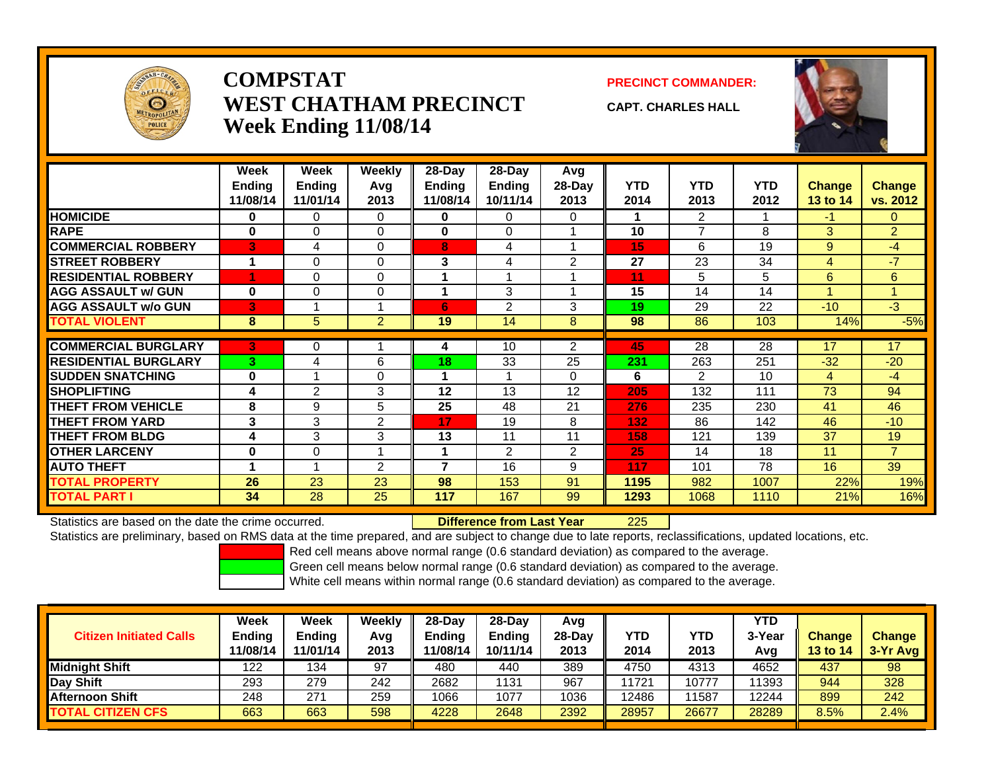

### **COMPSTATWEST CHATHAM PRECINCTWeek Ending 11/08/14**

**PRECINCT COMMANDER:**

**CAPT. CHARLES HALL**



|                             | Week          | Week          | <b>Weekly</b>  | $28$ -Day                | $28-Day$       | Avg            |            |                |            |               |                |
|-----------------------------|---------------|---------------|----------------|--------------------------|----------------|----------------|------------|----------------|------------|---------------|----------------|
|                             | <b>Ending</b> | <b>Ending</b> | Avg            | Ending                   | <b>Ending</b>  | 28-Day         | <b>YTD</b> | <b>YTD</b>     | <b>YTD</b> | <b>Change</b> | <b>Change</b>  |
|                             | 11/08/14      | 11/01/14      | 2013           | 11/08/14                 | 10/11/14       | 2013           | 2014       | 2013           | 2012       | 13 to 14      | vs. 2012       |
| <b>HOMICIDE</b>             | 0             | 0             | 0              | 0                        | 0              | $\Omega$       |            | $\overline{2}$ |            | $-1$          | $\Omega$       |
| <b>RAPE</b>                 | 0             | 0             | $\Omega$       | 0                        | 0              |                | 10         | $\overline{7}$ | 8          | 3             | $\overline{2}$ |
| <b>COMMERCIAL ROBBERY</b>   | 3             | 4             | $\Omega$       | 8                        | 4              |                | 15         | 6              | 19         | 9             | $-4$           |
| <b>STREET ROBBERY</b>       | 1             | 0             | $\Omega$       | 3                        | 4              | $\overline{2}$ | 27         | 23             | 34         | 4             | $-7$           |
| <b>RESIDENTIAL ROBBERY</b>  | 4             | 0             | $\Omega$       |                          |                |                | 11         | 5              | 5          | 6             | 6              |
| <b>AGG ASSAULT w/ GUN</b>   | $\bf{0}$      | 0             | $\Omega$       |                          | 3              |                | 15         | 14             | 14         | 1             |                |
| <b>AGG ASSAULT w/o GUN</b>  | 3             |               |                | 6                        | $\overline{2}$ | 3              | 19         | 29             | 22         | $-10$         | $-3$           |
| <b>TOTAL VIOLENT</b>        | 8             | 5             | $\overline{2}$ | 19                       | 14             | 8              | 98         | 86             | 103        | 14%           | $-5%$          |
|                             |               |               |                |                          |                |                |            |                |            |               |                |
| <b>COMMERCIAL BURGLARY</b>  | 3             | 0             |                | 4                        | 10             | $\overline{2}$ | 45         | 28             | 28         | 17            | 17             |
| <b>RESIDENTIAL BURGLARY</b> | 3             | 4             | 6              | 18                       | 33             | 25             | 231        | 263            | 251        | $-32$         | $-20$          |
| <b>SUDDEN SNATCHING</b>     | $\bf{0}$      |               | $\Omega$       |                          |                | $\Omega$       | 6          | 2              | 10         | 4             | $-4$           |
| <b>SHOPLIFTING</b>          | 4             | 2             | 3              | 12                       | 13             | 12             | 205        | 132            | 111        | 73            | 94             |
| <b>THEFT FROM VEHICLE</b>   | 8             | 9             | 5              | 25                       | 48             | 21             | 276        | 235            | 230        | 41            | 46             |
| <b>THEFT FROM YARD</b>      | 3             | 3             | $\overline{2}$ | 17                       | 19             | 8              | 132        | 86             | 142        | 46            | $-10$          |
| <b>THEFT FROM BLDG</b>      | 4             | 3             | 3              | 13                       | 11             | 11             | 158        | 121            | 139        | 37            | 19             |
| <b>OTHER LARCENY</b>        | $\bf{0}$      | 0             |                |                          | $\overline{2}$ | $\overline{2}$ | 25         | 14             | 18         | 11            | $\overline{7}$ |
| <b>AUTO THEFT</b>           |               |               | 2              | $\overline{\phantom{a}}$ | 16             | 9              | 117        | 101            | 78         | 16            | 39             |
| <b>TOTAL PROPERTY</b>       | 26            | 23            | 23             | 98                       | 153            | 91             | 1195       | 982            | 1007       | 22%           | 19%            |
| <b>TOTAL PART I</b>         | 34            | 28            | 25             | 117                      | 167            | 99             | 1293       | 1068           | 1110       | 21%           | 16%            |

Statistics are based on the date the crime occurred. **Difference from Last Year** 

r 225

Statistics are preliminary, based on RMS data at the time prepared, and are subject to change due to late reports, reclassifications, updated locations, etc.

Red cell means above normal range (0.6 standard deviation) as compared to the average.

Green cell means below normal range (0.6 standard deviation) as compared to the average.

|                                | <b>Week</b>   | <b>Week</b> | Weekly | $28-Day$      | 28-Day        | Avg    |       |            | <b>YTD</b> |                 |               |
|--------------------------------|---------------|-------------|--------|---------------|---------------|--------|-------|------------|------------|-----------------|---------------|
| <b>Citizen Initiated Calls</b> | <b>Ending</b> | Endina      | Avg    | <b>Ending</b> | <b>Endina</b> | 28-Dav | YTD   | <b>YTD</b> | 3-Year     | <b>Change</b>   | <b>Change</b> |
|                                | 11/08/14      | 11/01/14    | 2013   | 11/08/14      | 10/11/14      | 2013   | 2014  | 2013       | Avg        | <b>13 to 14</b> | $3-Yr$ Avg    |
| <b>Midnight Shift</b>          | 122           | 134         | 97     | 480           | 440           | 389    | 4750  | 4313       | 4652       | 437             | 98            |
| Day Shift                      | 293           | 279         | 242    | 2682          | 1131          | 967    | 11721 | 10777      | 1393       | 944             | 328           |
| <b>Afternoon Shift</b>         | 248           | 271         | 259    | 1066          | 1077          | 1036   | 12486 | 11587      | 2244       | 899             | 242           |
| <b>TOTAL CITIZEN CFS</b>       | 663           | 663         | 598    | 4228          | 2648          | 2392   | 28957 | 26677      | 28289      | 8.5%            | 2.4%          |
|                                |               |             |        |               |               |        |       |            |            |                 |               |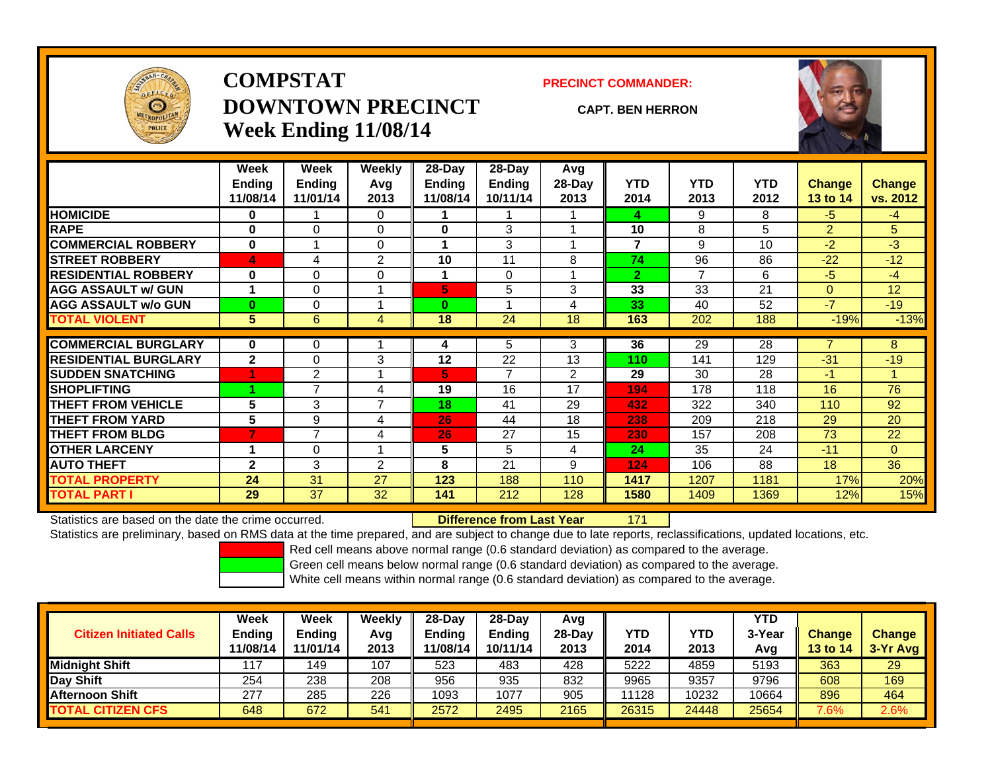

## **COMPSTATDOWNTOWN PRECINCTWeek Ending 11/08/14**

#### **PRECINCT COMMANDER:**

#### **CAPT. BEN HERRON**

171



|                             | Week          | Week           | Weekly         | 28-Day   | $28$ -Day      | Avg            |                |            |            |                |          |
|-----------------------------|---------------|----------------|----------------|----------|----------------|----------------|----------------|------------|------------|----------------|----------|
|                             | <b>Ending</b> | Ending         | Avq            | Ending   | <b>Ending</b>  | $28-Day$       | <b>YTD</b>     | <b>YTD</b> | <b>YTD</b> | <b>Change</b>  | Change   |
|                             | 11/08/14      | 11/01/14       | 2013           | 11/08/14 | 10/11/14       | 2013           | 2014           | 2013       | 2012       | 13 to 14       | vs. 2012 |
| <b>HOMICIDE</b>             | 0             |                | 0              |          |                |                | 4              | 9          | 8          | $-5$           | $-4$     |
| <b>RAPE</b>                 | $\bf{0}$      | 0              | $\mathbf 0$    | 0        | 3              |                | 10             | 8          | 5          | $\overline{2}$ | 5        |
| <b>COMMERCIAL ROBBERY</b>   | $\bf{0}$      |                | $\Omega$       |          | 3              |                | 7              | 9          | 10         | $-2$           | $-3$     |
| <b>STREET ROBBERY</b>       | 4             | 4              | 2              | 10       | 11             | 8              | 74             | 96         | 86         | $-22$          | $-12$    |
| <b>RESIDENTIAL ROBBERY</b>  | $\bf{0}$      | 0              | $\Omega$       |          | $\Omega$       |                | $\overline{2}$ | 7          | 6          | $-5$           | $-4$     |
| <b>AGG ASSAULT w/ GUN</b>   | 1             | 0              |                | 5.       | 5              | 3              | 33             | 33         | 21         | $\mathbf{0}$   | 12       |
| <b>AGG ASSAULT w/o GUN</b>  | $\bf{0}$      | 0              |                | $\bf{0}$ |                | 4              | 33             | 40         | 52         | $-7$           | $-19$    |
| <b>TOTAL VIOLENT</b>        | 5             | 6              | 4              | 18       | 24             | 18             | 163            | 202        | 188        | $-19%$         | $-13%$   |
| <b>COMMERCIAL BURGLARY</b>  | $\bf{0}$      |                |                |          |                | 3              | 36             |            |            | 7              | 8        |
|                             |               | 0              |                | 4        | 5              |                |                | 29         | 28         |                |          |
| <b>RESIDENTIAL BURGLARY</b> | $\mathbf{2}$  | 0              | 3              | 12       | 22             | 13             | 110            | 141        | 129        | $-31$          | $-19$    |
| <b>SUDDEN SNATCHING</b>     |               | $\overline{2}$ |                | 5.       | $\overline{7}$ | $\overline{2}$ | 29             | 30         | 28         | -1             |          |
| <b>SHOPLIFTING</b>          |               | 7              | 4              | 19       | 16             | 17             | 194            | 178        | 118        | 16             | 76       |
| <b>THEFT FROM VEHICLE</b>   | 5             | 3              | $\overline{7}$ | 18       | 41             | 29             | 432            | 322        | 340        | 110            | 92       |
| <b>THEFT FROM YARD</b>      | 5             | 9              | 4              | 26       | 44             | 18             | 238            | 209        | 218        | 29             | 20       |
| <b>THEFT FROM BLDG</b>      | 7             | 7              | 4              | 26       | 27             | 15             | 230            | 157        | 208        | 73             | 22       |
| <b>OTHER LARCENY</b>        | 1             | 0              |                | 5        | 5              | 4              | 24             | 35         | 24         | $-11$          | $\Omega$ |
| <b>AUTO THEFT</b>           | $\mathbf{2}$  | 3              | 2              | 8        | 21             | 9              | 124            | 106        | 88         | 18             | 36       |
| <b>TOTAL PROPERTY</b>       | 24            | 31             | 27             | 123      | 188            | 110            | 1417           | 1207       | 1181       | 17%            | 20%      |
| <b>TOTAL PART I</b>         | 29            | 37             | 32             | 141      | 212            | 128            | 1580           | 1409       | 1369       | 12%            | 15%      |

Statistics are based on the date the crime occurred. **Difference from Last Year** 

Statistics are preliminary, based on RMS data at the time prepared, and are subject to change due to late reports, reclassifications, updated locations, etc.

Red cell means above normal range (0.6 standard deviation) as compared to the average.

Green cell means below normal range (0.6 standard deviation) as compared to the average.

| <b>Citizen Initiated Calls</b> | Week<br><b>Ending</b><br>11/08/14 | Week<br><b>Ending</b><br>11/01/14 | Weeklv<br>Avg<br>2013 | $28-Dav$<br><b>Ending</b><br>11/08/14 | $28-Dav$<br><b>Ending</b><br>10/11/14 | Avg<br>$28-Dav$<br>2013 | YTD<br>2014 | <b>YTD</b><br>2013 | <b>YTD</b><br>3-Year<br>Avg | <b>Change</b><br><b>13 to 14</b> | <b>Change</b><br>$3-Yr$ Avg |
|--------------------------------|-----------------------------------|-----------------------------------|-----------------------|---------------------------------------|---------------------------------------|-------------------------|-------------|--------------------|-----------------------------|----------------------------------|-----------------------------|
| <b>Midnight Shift</b>          | 17                                | 149                               | 107                   | 523                                   | 483                                   | 428                     | 5222        | 4859               | 5193                        | 363                              | 29                          |
| Day Shift                      | 254                               | 238                               | 208                   | 956                                   | 935                                   | 832                     | 9965        | 9357               | 9796                        | 608                              | 169                         |
| <b>Afternoon Shift</b>         | 277                               | 285                               | 226                   | 1093                                  | 1077                                  | 905                     | 11128       | 10232              | 0664                        | 896                              | 464                         |
| <b>TOTAL CITIZEN CFS</b>       | 648                               | 672                               | 541                   | 2572                                  | 2495                                  | 2165                    | 26315       | 24448              | 25654                       | 7.6%                             | 2.6%                        |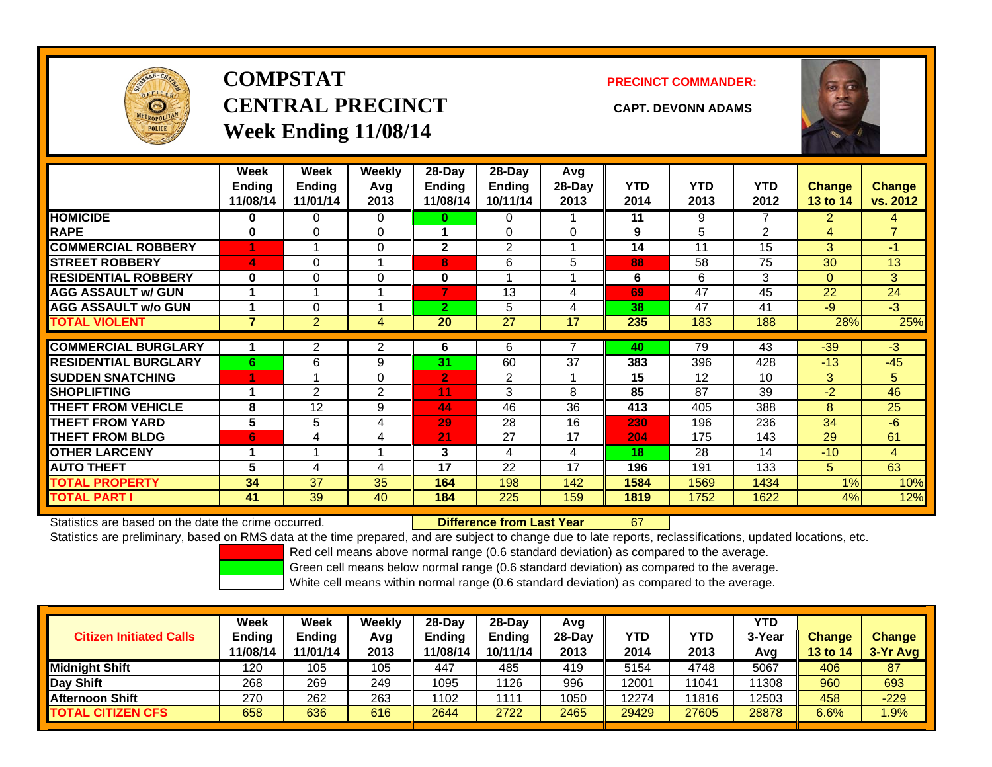

# **COMPSTATCENTRAL PRECINCT CAPT. DEVONN ADAMSWeek Ending 11/08/14**

**PRECINCT COMMANDER:**



|                             | Week<br><b>Ending</b><br>11/08/14 | Week<br><b>Ending</b><br>11/01/14 | Weekly<br>Avg<br>2013 | 28-Day<br>Ending<br>11/08/14 | 28-Day<br><b>Ending</b><br>10/11/14 | Avg<br>$28$ -Day<br>2013 | <b>YTD</b><br>2014 | <b>YTD</b><br>2013 | <b>YTD</b><br>2012 | <b>Change</b><br>13 to 14 | Change<br>vs. 2012 |
|-----------------------------|-----------------------------------|-----------------------------------|-----------------------|------------------------------|-------------------------------------|--------------------------|--------------------|--------------------|--------------------|---------------------------|--------------------|
| <b>HOMICIDE</b>             | $\mathbf{0}$                      | 0                                 | 0                     | 0                            | 0                                   |                          | 11                 | 9                  | 7                  | $\overline{2}$            | 4                  |
| <b>RAPE</b>                 | $\bf{0}$                          | $\Omega$                          | 0                     |                              | $\Omega$                            | $\Omega$                 | 9                  | 5                  | $\overline{2}$     | 4                         | $\overline{7}$     |
| <b>COMMERCIAL ROBBERY</b>   |                                   |                                   | 0                     | $\mathbf{2}$                 | 2                                   |                          | 14                 | 11                 | 15                 | 3                         | $-1$               |
| <b>STREET ROBBERY</b>       | 4                                 | 0                                 |                       | 8                            | 6                                   | 5                        | 88                 | 58                 | 75                 | 30                        | 13                 |
| <b>RESIDENTIAL ROBBERY</b>  | $\bf{0}$                          | 0                                 | 0                     | $\bf{0}$                     |                                     |                          | 6                  | 6                  | 3                  | $\mathbf{0}$              | 3                  |
| <b>AGG ASSAULT w/ GUN</b>   |                                   |                                   | 4                     | 7                            | 13                                  | 4                        | 69                 | 47                 | 45                 | 22                        | 24                 |
| <b>AGG ASSAULT w/o GUN</b>  |                                   | 0                                 |                       | $\overline{2}$               | 5                                   | 4                        | 38                 | 47                 | 41                 | $-9$                      | $-3$               |
| <b>TOTAL VIOLENT</b>        | $\overline{7}$                    | $\overline{2}$                    | 4                     | 20                           | 27                                  | 17                       | 235                | 183                | 188                | 28%                       | 25%                |
|                             |                                   |                                   |                       |                              |                                     |                          |                    |                    |                    |                           |                    |
| <b>COMMERCIAL BURGLARY</b>  |                                   | 2                                 | 2                     | 6                            | 6                                   |                          | 40                 | 79                 | 43                 | $-39$                     | $-3$               |
| <b>RESIDENTIAL BURGLARY</b> | 6                                 | 6                                 | 9                     | 31                           | 60                                  | 37                       | 383                | 396                | 428                | $-13$                     | $-45$              |
| <b>SUDDEN SNATCHING</b>     | 4                                 |                                   | 0                     | $\overline{2}$               | 2                                   |                          | 15                 | 12                 | 10                 | 3                         | 5.                 |
| <b>SHOPLIFTING</b>          |                                   | $\mathfrak{p}$                    | $\overline{2}$        | 11                           | 3                                   | 8                        | 85                 | 87                 | 39                 | $-2$                      | 46                 |
| <b>THEFT FROM VEHICLE</b>   | 8                                 | 12                                | 9                     | 44                           | 46                                  | 36                       | 413                | 405                | 388                | 8                         | 25                 |
| <b>THEFT FROM YARD</b>      | 5                                 | 5                                 | 4                     | 29                           | 28                                  | 16                       | 230                | 196                | 236                | 34                        | $-6$               |
| <b>THEFT FROM BLDG</b>      | 6                                 | 4                                 | 4                     | 21                           | 27                                  | 17                       | 204                | 175                | 143                | 29                        | 61                 |
| <b>OTHER LARCENY</b>        | 1                                 |                                   | 4                     | 3                            | 4                                   | 4                        | 18                 | 28                 | 14                 | $-10$                     | 4                  |
| <b>AUTO THEFT</b>           | 5                                 | 4                                 | 4                     | 17                           | 22                                  | 17                       | 196                | 191                | 133                | 5                         | 63                 |
| TOTAL PROPERTY              | 34                                | 37                                | 35                    | 164                          | 198                                 | 142                      | 1584               | 1569               | 1434               | 1%                        | 10%                |
| <b>TOTAL PART I</b>         | 41                                | 39                                | 40                    | 184                          | 225                                 | 159                      | 1819               | 1752               | 1622               | 4%                        | 12%                |

Statistics are based on the date the crime occurred. **Difference from Last Year** 

67

Statistics are preliminary, based on RMS data at the time prepared, and are subject to change due to late reports, reclassifications, updated locations, etc.

Red cell means above normal range (0.6 standard deviation) as compared to the average.

Green cell means below normal range (0.6 standard deviation) as compared to the average.

| <b>Citizen Initiated Calls</b> | Week<br><b>Ending</b><br>11/08/14 | Week<br>Ending<br>11/01/14 | Weeklv<br>Avg<br>2013 | $28-Day$<br><b>Ending</b><br>11/08/14 | 28-Dav<br><b>Ending</b><br>10/11/14 | Avg<br>$28-Dav$<br>2013 | YTD<br>2014 | YTD<br>2013 | <b>YTD</b><br>3-Year<br>Avg | <b>Change</b><br><b>13 to 14</b> | <b>Change</b><br>3-Yr Avg |
|--------------------------------|-----------------------------------|----------------------------|-----------------------|---------------------------------------|-------------------------------------|-------------------------|-------------|-------------|-----------------------------|----------------------------------|---------------------------|
| <b>Midnight Shift</b>          | 120                               | 105                        | 105                   | 447                                   | 485                                 | 419                     | 5154        | 4748        | 5067                        | 406                              | 87                        |
| Day Shift                      | 268                               | 269                        | 249                   | 1095                                  | 1126                                | 996                     | 12001       | 11041       | 11308                       | 960                              | 693                       |
| <u>I</u> Afternoon Shift       | 270                               | 262                        | 263                   | 1102                                  | 1111                                | 1050                    | 12274       | 11816       | 12503                       | 458                              | $-229$                    |
| <b>TOTAL CITIZEN CFS</b>       | 658                               | 636                        | 616                   | 2644                                  | 2722                                | 2465                    | 29429       | 27605       | 28878                       | 6.6%                             | $.9\%$                    |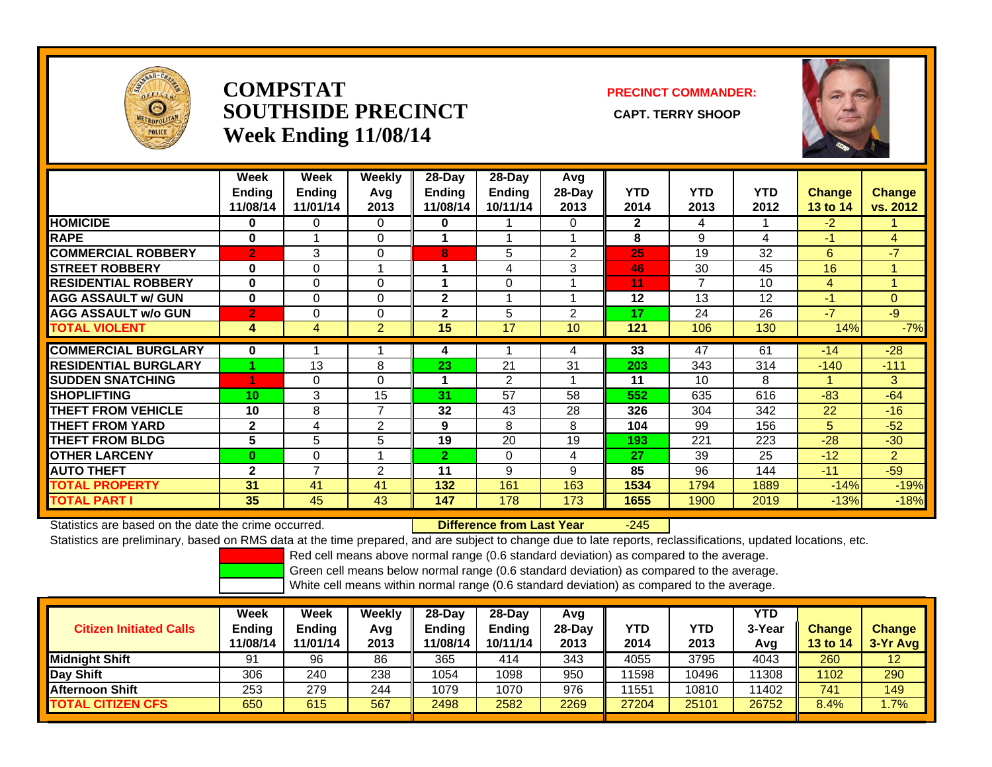

### **COMPSTATSOUTHSIDE PRECINCT** CAPT. TERRY SHOOP **Week Ending 11/08/14**

### **PRECINCT COMMANDER:**



|                             | Week<br><b>Ending</b><br>11/08/14 | Week<br><b>Ending</b><br>11/01/14 | Weekly<br>Avg<br>2013 | 28-Day<br><b>Ending</b><br>11/08/14 | $28$ -Day<br><b>Ending</b><br>10/11/14 | Avg<br>28-Day<br>2013 | <b>YTD</b><br>2014 | <b>YTD</b><br>2013 | <b>YTD</b><br>2012 | <b>Change</b><br>13 to 14 | <b>Change</b><br>vs. 2012 |
|-----------------------------|-----------------------------------|-----------------------------------|-----------------------|-------------------------------------|----------------------------------------|-----------------------|--------------------|--------------------|--------------------|---------------------------|---------------------------|
| <b>HOMICIDE</b>             | 0                                 | 0                                 | 0                     | $\bf{0}$                            |                                        | 0                     | $\mathbf{2}$       | 4                  |                    | $-2$                      |                           |
| <b>RAPE</b>                 | $\bf{0}$                          |                                   | $\Omega$              |                                     |                                        |                       | 8                  | 9                  | 4                  | $-1$                      | 4                         |
| <b>COMMERCIAL ROBBERY</b>   | $\overline{2}$                    | 3                                 | $\Omega$              | 8                                   | 5                                      | 2                     | 25                 | 19                 | 32                 | 6                         | $-7$                      |
| <b>STREET ROBBERY</b>       | $\bf{0}$                          | 0                                 |                       |                                     | 4                                      | 3                     | 46                 | 30                 | 45                 | 16                        |                           |
| <b>RESIDENTIAL ROBBERY</b>  | $\bf{0}$                          | 0                                 | 0                     |                                     | $\Omega$                               |                       | 11                 | 7                  | 10                 | 4                         |                           |
| <b>AGG ASSAULT w/ GUN</b>   | $\bf{0}$                          | 0                                 | 0                     | $\mathbf{2}$                        |                                        |                       | 12                 | 13                 | 12                 | $-1$                      | $\Omega$                  |
| <b>AGG ASSAULT w/o GUN</b>  | $\overline{2}$                    | 0                                 | 0                     | $\mathbf{2}$                        | 5                                      | 2                     | 17                 | 24                 | 26                 | -7                        | $-9$                      |
| <b>TOTAL VIOLENT</b>        | 4                                 | 4                                 | $\overline{2}$        | 15                                  | 17                                     | 10                    | 121                | 106                | 130                | 14%                       | $-7%$                     |
| <b>COMMERCIAL BURGLARY</b>  | 0                                 |                                   |                       | 4                                   |                                        | 4                     | 33                 | 47                 | 61                 | $-14$                     | $-28$                     |
| <b>RESIDENTIAL BURGLARY</b> |                                   | 13                                | 8                     | 23                                  | 21                                     | 31                    | 203                | 343                | 314                | $-140$                    | $-111$                    |
| <b>ISUDDEN SNATCHING</b>    |                                   | 0                                 | 0                     | и                                   | 2                                      |                       | 11                 | 10                 | 8                  |                           | 3                         |
| <b>SHOPLIFTING</b>          | 10                                | 3                                 | 15                    | 31                                  | 57                                     | 58                    | 552                | 635                | 616                | $-83$                     | $-64$                     |
| <b>THEFT FROM VEHICLE</b>   | 10                                | 8                                 | 7                     | 32                                  | 43                                     | 28                    | 326                | 304                | 342                | 22                        | $-16$                     |
| <b>THEFT FROM YARD</b>      | $\mathbf{2}$                      | 4                                 | 2                     | 9                                   | 8                                      | 8                     | 104                | 99                 | 156                | 5                         | $-52$                     |
| <b>THEFT FROM BLDG</b>      | 5                                 | 5                                 | 5                     | 19                                  | 20                                     | 19                    | 193                | 221                | 223                | $-28$                     | $-30$                     |
| <b>OTHER LARCENY</b>        | $\bf{0}$                          | $\Omega$                          |                       | $\overline{2}$                      | $\Omega$                               | 4                     | 27                 | 39                 | 25                 | $-12$                     | $\overline{2}$            |
| <b>AUTO THEFT</b>           | $\mathbf{2}$                      | ⇁                                 | 2                     | 11                                  | 9                                      | 9                     | 85                 | 96                 | 144                | $-11$                     | $-59$                     |
| TOTAL PROPERTY              | 31                                | 41                                | 41                    | 132                                 | 161                                    | 163                   | 1534               | 1794               | 1889               | $-14%$                    | $-19%$                    |
| TOTAL PART I                | 35                                | 45                                | 43                    | 147                                 | 178                                    | 173                   | 1655               | 1900               | 2019               | $-13%$                    | $-18%$                    |

Statistics are based on the date the crime occurred. **Difference from Last Year** 

-245

Statistics are preliminary, based on RMS data at the time prepared, and are subject to change due to late reports, reclassifications, updated locations, etc.

Red cell means above normal range (0.6 standard deviation) as compared to the average.

Green cell means below normal range (0.6 standard deviation) as compared to the average.

| <b>Citizen Initiated Calls</b> | Week<br>Ending<br>11/08/14 | Week<br><b>Ending</b><br>11/01/14 | Weekly<br>Avg<br>2013 | $28-Dav$<br><b>Ending</b><br>11/08/14 | $28-Day$<br><b>Ending</b><br>10/11/14 | Avg<br>28-Dav<br>2013 | <b>YTD</b><br>2014 | YTD<br>2013 | <b>YTD</b><br>3-Yea<br>Avg | <b>Change</b><br><b>13 to 14</b> | <b>Change</b><br>3-Yr Avg |
|--------------------------------|----------------------------|-----------------------------------|-----------------------|---------------------------------------|---------------------------------------|-----------------------|--------------------|-------------|----------------------------|----------------------------------|---------------------------|
| Midnight Shift                 | 91                         | 96                                | 86                    | 365                                   | 414                                   | 343                   | 4055               | 3795        | 4043                       | 260                              | $12 \overline{ }$         |
| Day Shift                      | 306                        | 240                               | 238                   | 1054                                  | 1098                                  | 950                   | 1598               | 10496       | 11308                      | 1102                             | 290                       |
| <b>Afternoon Shift</b>         | 253                        | 279                               | 244                   | 1079                                  | 1070                                  | 976                   | 1551               | 10810       | 11402                      | 741                              | 149                       |
| <b>TOTAL CITIZEN CFS</b>       | 650                        | 615                               | 567                   | 2498                                  | 2582                                  | 2269                  | 27204              | 25101       | 26752                      | 8.4%                             | $1.7\%$                   |